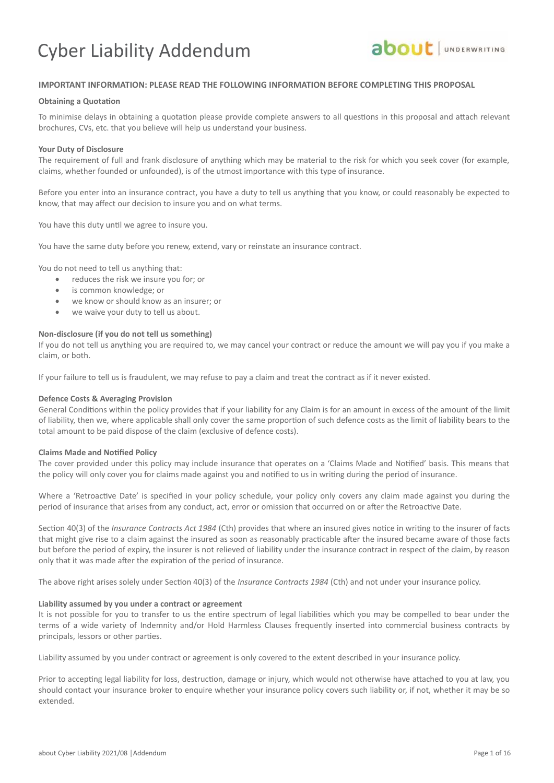

### **IMPORTANT INFORMATION: PLEASE READ THE FOLLOWING INFORMATION BEFORE COMPLETING THIS PROPOSAL**

### **Obtaining a Quotation**

To minimise delays in obtaining a quotation please provide complete answers to all questions in this proposal and attach relevant brochures, CVs, etc. that you believe will help us understand your business.

### **Your Duty of Disclosure**

The requirement of full and frank disclosure of anything which may be material to the risk for which you seek cover (for example, claims, whether founded or unfounded), is of the utmost importance with this type of insurance.

Before you enter into an insurance contract, you have a duty to tell us anything that you know, or could reasonably be expected to know, that may affect our decision to insure you and on what terms.

You have this duty until we agree to insure you.

You have the same duty before you renew, extend, vary or reinstate an insurance contract.

You do not need to tell us anything that:

- reduces the risk we insure you for; or
- is common knowledge; or
- we know or should know as an insurer; or
- we waive your duty to tell us about.

### **Non-disclosure (if you do not tell us something)**

If you do not tell us anything you are required to, we may cancel your contract or reduce the amount we will pay you if you make a claim, or both.

If your failure to tell us is fraudulent, we may refuse to pay a claim and treat the contract as if it never existed.

### **Defence Costs & Averaging Provision**

General Conditions within the policy provides that if your liability for any Claim is for an amount in excess of the amount of the limit of liability, then we, where applicable shall only cover the same proportion of such defence costs as the limit of liability bears to the total amount to be paid dispose of the claim (exclusive of defence costs).

### **Claims Made and Notified Policy**

The cover provided under this policy may include insurance that operates on a 'Claims Made and Notified' basis. This means that the policy will only cover you for claims made against you and notified to us in writing during the period of insurance.

Where a 'Retroactive Date' is specified in your policy schedule, your policy only covers any claim made against you during the period of insurance that arises from any conduct, act, error or omission that occurred on or after the Retroactive Date.

Section 40(3) of the *Insurance Contracts Act 1984* (Cth) provides that where an insured gives notice in writing to the insurer of facts that might give rise to a claim against the insured as soon as reasonably practicable after the insured became aware of those facts but before the period of expiry, the insurer is not relieved of liability under the insurance contract in respect of the claim, by reason only that it was made after the expiration of the period of insurance.

The above right arises solely under Section 40(3) of the *Insurance Contracts 1984* (Cth) and not under your insurance policy.

### **Liability assumed by you under a contract or agreement**

It is not possible for you to transfer to us the entire spectrum of legal liabilities which you may be compelled to bear under the terms of a wide variety of Indemnity and/or Hold Harmless Clauses frequently inserted into commercial business contracts by principals, lessors or other parties.

Liability assumed by you under contract or agreement is only covered to the extent described in your insurance policy.

Prior to accepting legal liability for loss, destruction, damage or injury, which would not otherwise have attached to you at law, you should contact your insurance broker to enquire whether your insurance policy covers such liability or, if not, whether it may be so extended.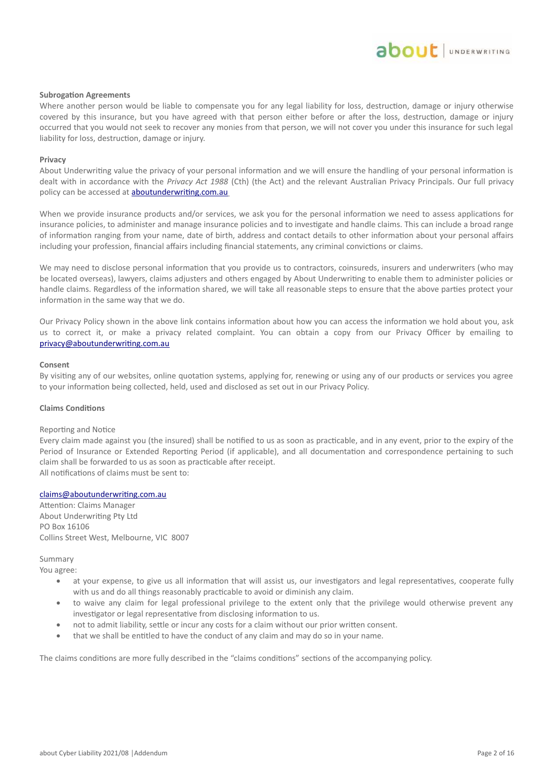### **Subrogation Agreements**

Where another person would be liable to compensate you for any legal liability for loss, destruction, damage or injury otherwise covered by this insurance, but you have agreed with that person either before or after the loss, destruction, damage or injury occurred that you would not seek to recover any monies from that person, we will not cover you under this insurance for such legal liability for loss, destruction, damage or injury.

### **Privacy**

About Underwriting value the privacy of your personal information and we will ensure the handling of your personal information is dealt with in accordance with the *Privacy Act 1988* (Cth) (the Act) and the relevant Australian Privacy Principals. Our full privacy policy can be accessed at **aboutunderwriting.com.au** 

When we provide insurance products and/or services, we ask you for the personal information we need to assess applications for insurance policies, to administer and manage insurance policies and to investigate and handle claims. This can include a broad range of information ranging from your name, date of birth, address and contact details to other information about your personal affairs including your profession, financial affairs including financial statements, any criminal convictions or claims.

We may need to disclose personal information that you provide us to contractors, coinsureds, insurers and underwriters (who may be located overseas), lawyers, claims adjusters and others engaged by About Underwriting to enable them to administer policies or handle claims. Regardless of the information shared, we will take all reasonable steps to ensure that the above parties protect your information in the same way that we do.

Our Privacy Policy shown in the above link contains information about how you can access the information we hold about you, ask us to correct it, or make a privacy related complaint. You can obtain a copy from our Privacy Officer by emailing to privacy@aboutunderwriting.com.au

#### **Consent**

By visiting any of our websites, online quotation systems, applying for, renewing or using any of our products or services you agree to your information being collected, held, used and disclosed as set out in our Privacy Policy.

#### **Claims Conditions**

#### Reporting and Notice

Every claim made against you (the insured) shall be notified to us as soon as practicable, and in any event, prior to the expiry of the Period of Insurance or Extended Reporting Period (if applicable), and all documentation and correspondence pertaining to such claim shall be forwarded to us as soon as practicable after receipt. All notifications of claims must be sent to:

### claims@aboutunderwriting.com.au

Attention: Claims Manager About Underwriting Pty Ltd PO Box 16106 Collins Street West, Melbourne, VIC 8007

Summary

- You agree:
	- at your expense, to give us all information that will assist us, our investigators and legal representatives, cooperate fully with us and do all things reasonably practicable to avoid or diminish any claim.
	- to waive any claim for legal professional privilege to the extent only that the privilege would otherwise prevent any investigator or legal representative from disclosing information to us.
	- not to admit liability, settle or incur any costs for a claim without our prior written consent.
	- that we shall be entitled to have the conduct of any claim and may do so in your name.

The claims conditions are more fully described in the "claims conditions" sections of the accompanying policy.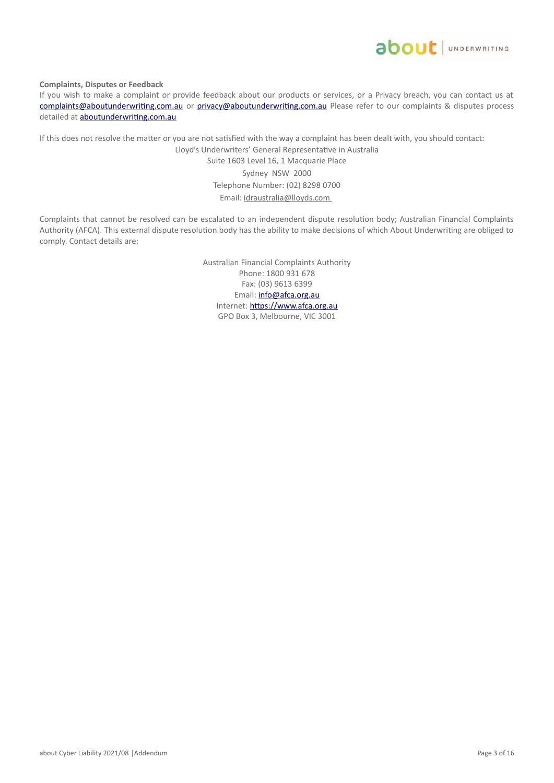

**Complaints, Disputes or Feedback**

If you wish to make a complaint or provide feedback about our products or services, or a Privacy breach, you can contact us at complaints@aboutunderwriting.com.au or privacy@aboutunderwriting.com.au Please refer to our complaints & disputes process detailed at **aboutunderwriting.com.au** 

If this does not resolve the matter or you are not satisfied with the way a complaint has been dealt with, you should contact:

Lloyd's Underwriters' General Representative in Australia Suite 1603 Level 16, 1 Macquarie Place Sydney NSW 2000 Telephone Number: (02) 8298 0700 Email: idraustralia@lloyds.com

Complaints that cannot be resolved can be escalated to an independent dispute resolution body; Australian Financial Complaints Authority (AFCA). This external dispute resolution body has the ability to make decisions of which About Underwriting are obliged to comply. Contact details are:

> Australian Financial Complaints Authority Phone: 1800 931 678 Fax: (03) 9613 6399 Email: info@afca.org.au Internet: https://www.afca.org.au GPO Box 3, Melbourne, VIC 3001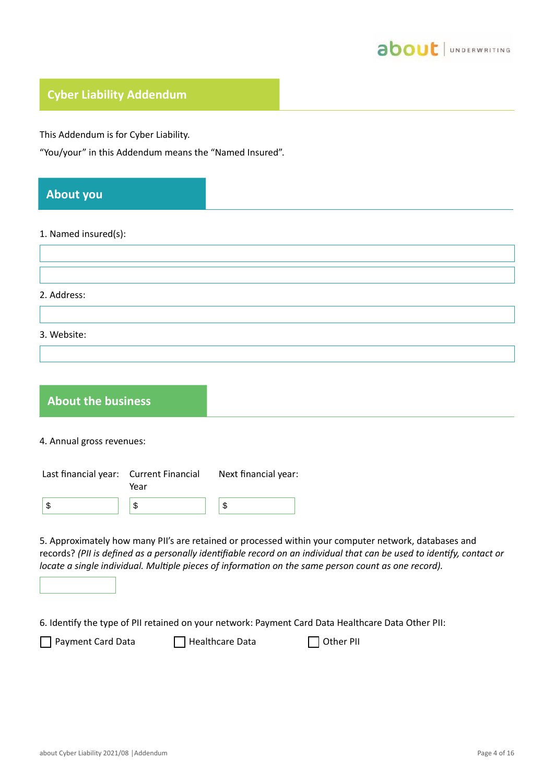

# **Cyber Liability Addendum**

This Addendum is for Cyber Liability.

"You/your" in this Addendum means the "Named Insured".

| <b>About you</b>          |                                  |                                                                                                                                                                                                                                                                                                                                        |
|---------------------------|----------------------------------|----------------------------------------------------------------------------------------------------------------------------------------------------------------------------------------------------------------------------------------------------------------------------------------------------------------------------------------|
| 1. Named insured(s):      |                                  |                                                                                                                                                                                                                                                                                                                                        |
| 2. Address:               |                                  |                                                                                                                                                                                                                                                                                                                                        |
| 3. Website:               |                                  |                                                                                                                                                                                                                                                                                                                                        |
| <b>About the business</b> |                                  |                                                                                                                                                                                                                                                                                                                                        |
| 4. Annual gross revenues: |                                  |                                                                                                                                                                                                                                                                                                                                        |
| Last financial year:      | <b>Current Financial</b><br>Year | Next financial year:                                                                                                                                                                                                                                                                                                                   |
| \$                        | $\,$                             | \$                                                                                                                                                                                                                                                                                                                                     |
|                           |                                  | 5. Approximately how many PII's are retained or processed within your computer network, databases and<br>records? (PII is defined as a personally identifiable record on an individual that can be used to identify, contact or<br>locate a single individual. Multiple pieces of information on the same person count as one record). |

6. Identify the type of PII retained on your network: Payment Card Data Healthcare Data Other PII:

□ Payment Card Data □ Healthcare Data □ Other PII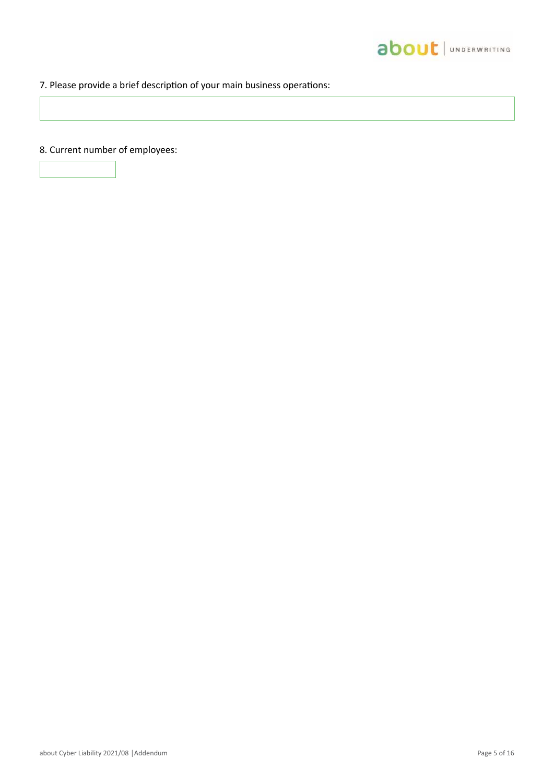

# 7. Please provide a brief description of your main business operations:

8. Current number of employees: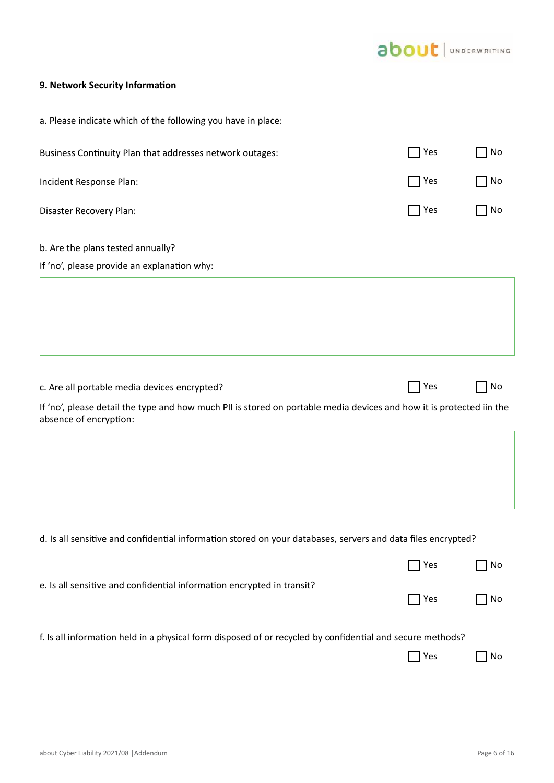

# **9. Network Security Information**

| a. Please indicate which of the following you have in place:                                                                                   |                                                                                                           |    |  |  |  |
|------------------------------------------------------------------------------------------------------------------------------------------------|-----------------------------------------------------------------------------------------------------------|----|--|--|--|
| Business Continuity Plan that addresses network outages:                                                                                       | $\bigcap$ Yes                                                                                             | No |  |  |  |
| Incident Response Plan:                                                                                                                        | $\sqcap$ Yes                                                                                              | No |  |  |  |
| Disaster Recovery Plan:                                                                                                                        | Ses                                                                                                       | No |  |  |  |
| b. Are the plans tested annually?                                                                                                              |                                                                                                           |    |  |  |  |
| If 'no', please provide an explanation why:                                                                                                    |                                                                                                           |    |  |  |  |
|                                                                                                                                                |                                                                                                           |    |  |  |  |
| c. Are all portable media devices encrypted?                                                                                                   | $\Box$ Yes                                                                                                | No |  |  |  |
| If 'no', please detail the type and how much PII is stored on portable media devices and how it is protected iin the<br>absence of encryption: |                                                                                                           |    |  |  |  |
|                                                                                                                                                |                                                                                                           |    |  |  |  |
| d. Is all sensitive and confidential information stored on your databases, servers and data files encrypted?                                   |                                                                                                           |    |  |  |  |
|                                                                                                                                                | Yes                                                                                                       | No |  |  |  |
| e. Is all sensitive and confidential information encrypted in transit?                                                                         | Yes                                                                                                       | No |  |  |  |
|                                                                                                                                                | f. Is all information held in a physical form disposed of or recycled by confidential and secure methods? |    |  |  |  |
|                                                                                                                                                |                                                                                                           |    |  |  |  |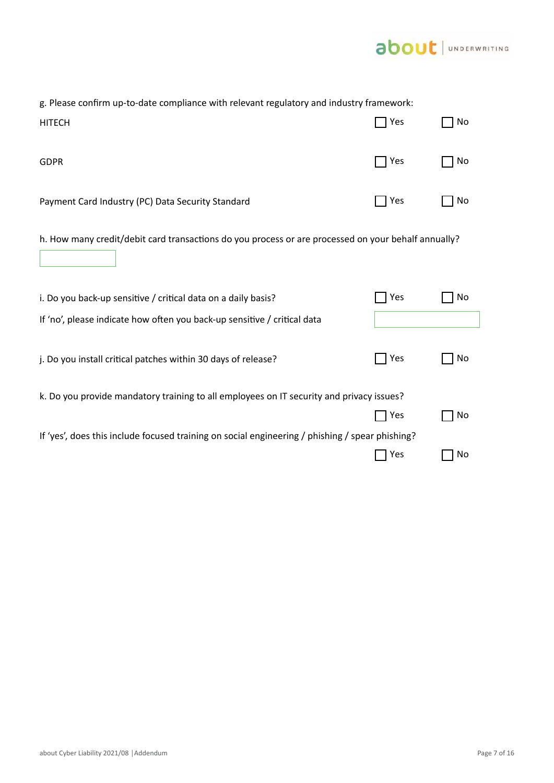

| g. Please confirm up-to-date compliance with relevant regulatory and industry framework:            |     |    |  |
|-----------------------------------------------------------------------------------------------------|-----|----|--|
| <b>HITECH</b>                                                                                       | Yes | No |  |
| <b>GDPR</b>                                                                                         | Yes | No |  |
| Payment Card Industry (PC) Data Security Standard                                                   | Yes | No |  |
| h. How many credit/debit card transactions do you process or are processed on your behalf annually? |     |    |  |
| i. Do you back-up sensitive / critical data on a daily basis?                                       | Yes | No |  |
| If 'no', please indicate how often you back-up sensitive / critical data                            |     |    |  |
| j. Do you install critical patches within 30 days of release?                                       | Yes | No |  |
| k. Do you provide mandatory training to all employees on IT security and privacy issues?            |     |    |  |
|                                                                                                     | Yes | No |  |
| If 'yes', does this include focused training on social engineering / phishing / spear phishing?     |     |    |  |
|                                                                                                     | Yes | No |  |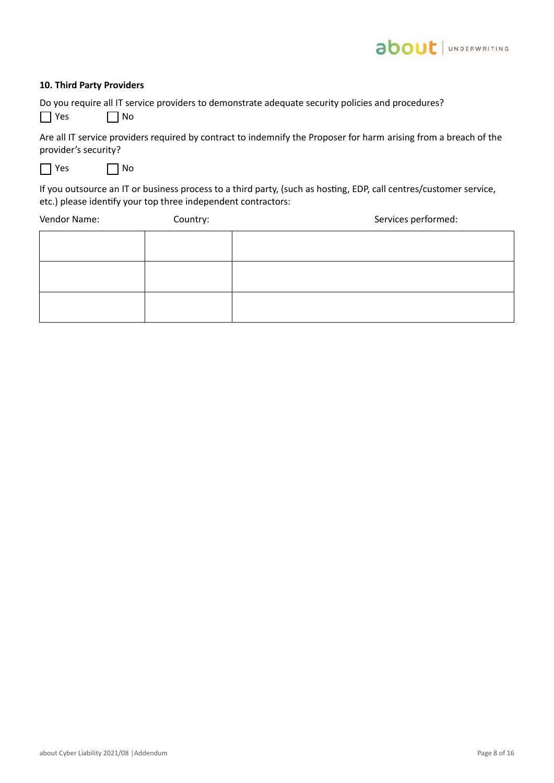# about JUNDERWRITING

### **10. Third Party Providers**

Do you require all IT service providers to demonstrate adequate security policies and procedures?

 $\Box$  Yes  $\Box$  No

Are all IT service providers required by contract to indemnify the Proposer for harm arising from a breach of the provider's security?

 $\Box$  Yes  $\Box$  No

If you outsource an IT or business process to a third party, (such as hosting, EDP, call centres/customer service, etc.) please identify your top three independent contractors:

Vendor Name: Country: Country: Services performed: Services performed: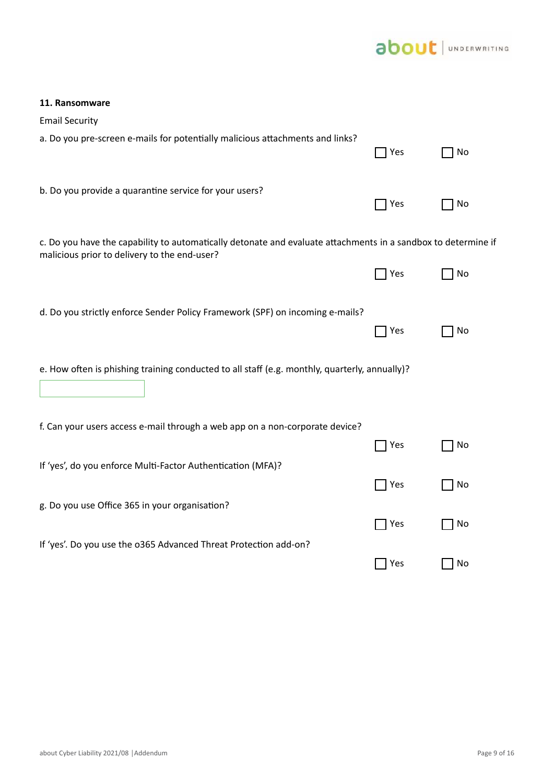

| <b>Email Security</b>                                                                                                                                         |     |    |
|---------------------------------------------------------------------------------------------------------------------------------------------------------------|-----|----|
| a. Do you pre-screen e-mails for potentially malicious attachments and links?                                                                                 | Yes | No |
| b. Do you provide a quarantine service for your users?                                                                                                        | Yes | No |
| c. Do you have the capability to automatically detonate and evaluate attachments in a sandbox to determine if<br>malicious prior to delivery to the end-user? |     |    |
|                                                                                                                                                               | Yes | No |
| d. Do you strictly enforce Sender Policy Framework (SPF) on incoming e-mails?                                                                                 | Yes | No |
| e. How often is phishing training conducted to all staff (e.g. monthly, quarterly, annually)?                                                                 |     |    |
| f. Can your users access e-mail through a web app on a non-corporate device?                                                                                  |     |    |
|                                                                                                                                                               | Yes | No |
| If 'yes', do you enforce Multi-Factor Authentication (MFA)?                                                                                                   |     |    |
|                                                                                                                                                               | Yes | No |
| g. Do you use Office 365 in your organisation?                                                                                                                | Yes | No |
| If 'yes'. Do you use the 0365 Advanced Threat Protection add-on?                                                                                              |     |    |
|                                                                                                                                                               | Yes | No |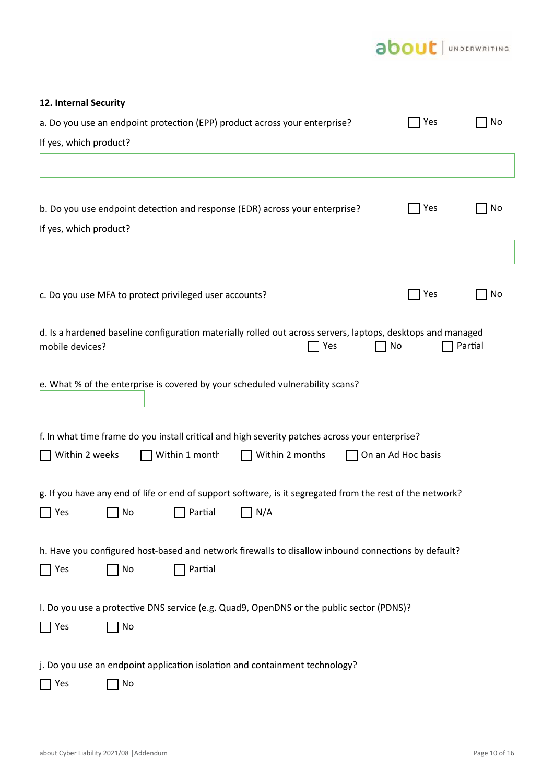# about | UNDERWRITING

| 12. Internal Security                                                                                                                             |                    |         |  |  |  |
|---------------------------------------------------------------------------------------------------------------------------------------------------|--------------------|---------|--|--|--|
| a. Do you use an endpoint protection (EPP) product across your enterprise?                                                                        | Yes                | No      |  |  |  |
| If yes, which product?                                                                                                                            |                    |         |  |  |  |
|                                                                                                                                                   |                    |         |  |  |  |
| b. Do you use endpoint detection and response (EDR) across your enterprise?<br>If yes, which product?                                             | Yes                | No      |  |  |  |
|                                                                                                                                                   |                    |         |  |  |  |
| c. Do you use MFA to protect privileged user accounts?                                                                                            | Yes                | No      |  |  |  |
| d. Is a hardened baseline configuration materially rolled out across servers, laptops, desktops and managed<br>No<br>mobile devices?<br>Yes       |                    | Partial |  |  |  |
| e. What % of the enterprise is covered by your scheduled vulnerability scans?                                                                     |                    |         |  |  |  |
| f. In what time frame do you install critical and high severity patches across your enterprise?                                                   |                    |         |  |  |  |
| Within 2 weeks<br>Within 1 month<br>Within 2 months                                                                                               | On an Ad Hoc basis |         |  |  |  |
| g. If you have any end of life or end of support software, is it segregated from the rest of the network?<br>$\Box$ Yes<br>No<br>Partial<br>  N/A |                    |         |  |  |  |
| h. Have you configured host-based and network firewalls to disallow inbound connections by default?<br>Partial<br>Yes<br>No                       |                    |         |  |  |  |
| I. Do you use a protective DNS service (e.g. Quad9, OpenDNS or the public sector (PDNS)?<br>Yes<br>No                                             |                    |         |  |  |  |
| j. Do you use an endpoint application isolation and containment technology?<br>No<br>Yes                                                          |                    |         |  |  |  |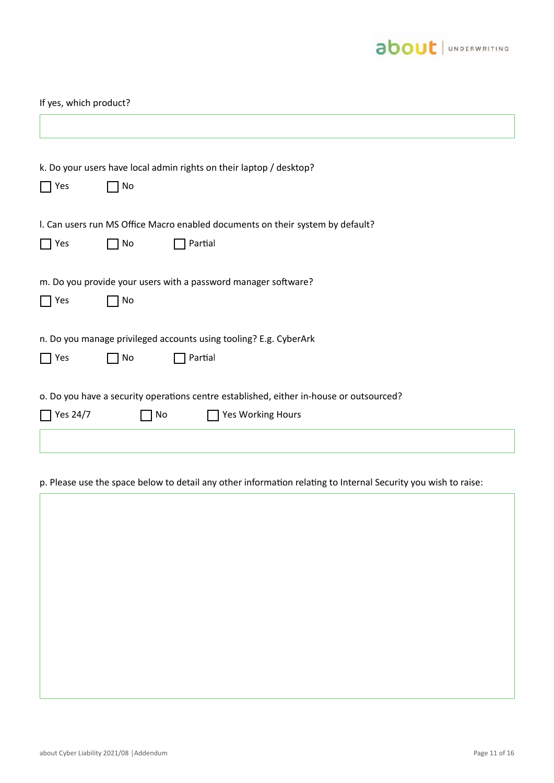

| If yes, which product?                                                                  |  |  |
|-----------------------------------------------------------------------------------------|--|--|
|                                                                                         |  |  |
| k. Do your users have local admin rights on their laptop / desktop?                     |  |  |
| $\Box$ Yes<br>No                                                                        |  |  |
| I. Can users run MS Office Macro enabled documents on their system by default?          |  |  |
| Partial<br>$\Box$ Yes<br>No                                                             |  |  |
| m. Do you provide your users with a password manager software?                          |  |  |
| $\Box$ Yes<br>No                                                                        |  |  |
| n. Do you manage privileged accounts using tooling? E.g. CyberArk                       |  |  |
| Partial<br>$\Box$ Yes<br>No                                                             |  |  |
| o. Do you have a security operations centre established, either in-house or outsourced? |  |  |
| $\sqrt{$ Yes 24/7<br>Yes Working Hours<br>$\Box$ No                                     |  |  |
|                                                                                         |  |  |

# p. Please use the space below to detail any other information relating to Internal Security you wish to raise:

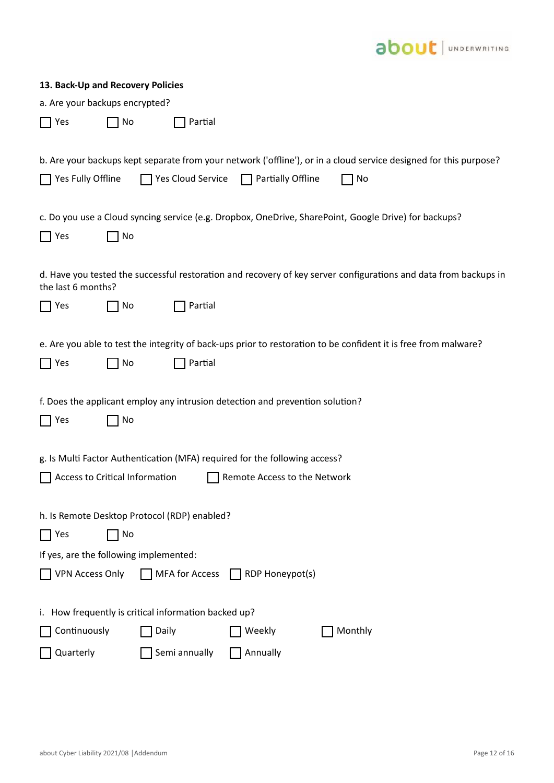

| 13. Back-Up and Recovery Policies                                                                                                      |
|----------------------------------------------------------------------------------------------------------------------------------------|
| a. Are your backups encrypted?                                                                                                         |
| No<br>Partial<br>  Yes                                                                                                                 |
|                                                                                                                                        |
| b. Are your backups kept separate from your network ('offline'), or in a cloud service designed for this purpose?                      |
| $\Box$ Yes Fully Offline<br>$\Box$ Yes Cloud Service<br>  Partially Offline<br>No                                                      |
|                                                                                                                                        |
| c. Do you use a Cloud syncing service (e.g. Dropbox, OneDrive, SharePoint, Google Drive) for backups?                                  |
| No<br>Yes                                                                                                                              |
|                                                                                                                                        |
| d. Have you tested the successful restoration and recovery of key server configurations and data from backups in<br>the last 6 months? |
| Partial<br>No<br>Yes                                                                                                                   |
|                                                                                                                                        |
| e. Are you able to test the integrity of back-ups prior to restoration to be confident it is free from malware?                        |
| Partial<br>$\Box$ Yes<br>No                                                                                                            |
|                                                                                                                                        |
| f. Does the applicant employ any intrusion detection and prevention solution?                                                          |
| Yes<br>No                                                                                                                              |
|                                                                                                                                        |
| g. Is Multi Factor Authentication (MFA) required for the following access?                                                             |
| Access to Critical Information<br>Remote Access to the Network                                                                         |
| h. Is Remote Desktop Protocol (RDP) enabled?                                                                                           |
| No<br>Yes                                                                                                                              |
| If yes, are the following implemented:                                                                                                 |
| <b>MFA for Access</b><br><b>VPN Access Only</b><br><b>RDP Honeypot(s)</b><br>$\mathbf{1}$                                              |
|                                                                                                                                        |
| i. How frequently is critical information backed up?                                                                                   |
| Continuously<br>Monthly<br>Daily<br>Weekly                                                                                             |
| Semi annually<br>Quarterly<br>Annually                                                                                                 |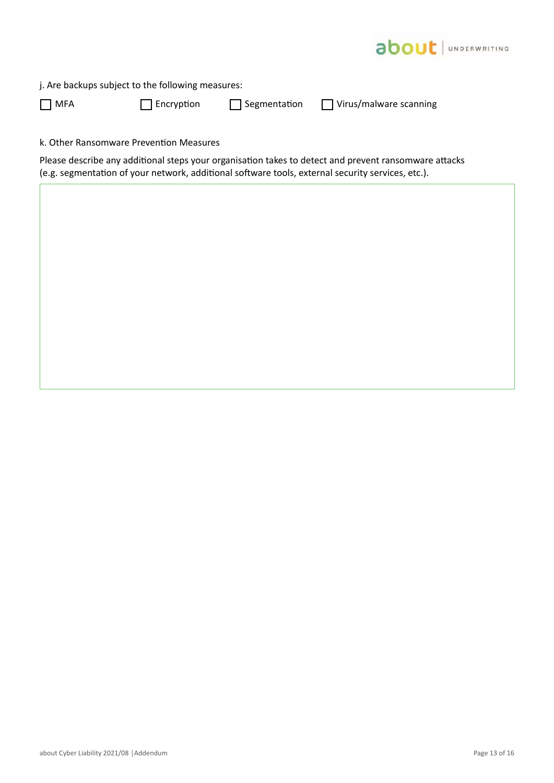

**MFA** Encryption **Segmentation** Virus/malware scanning

k. Other Ransomware Prevention Measures

Please describe any additional steps your organisation takes to detect and prevent ransomware attacks (e.g. segmentation of your network, additional software tools, external security services, etc.).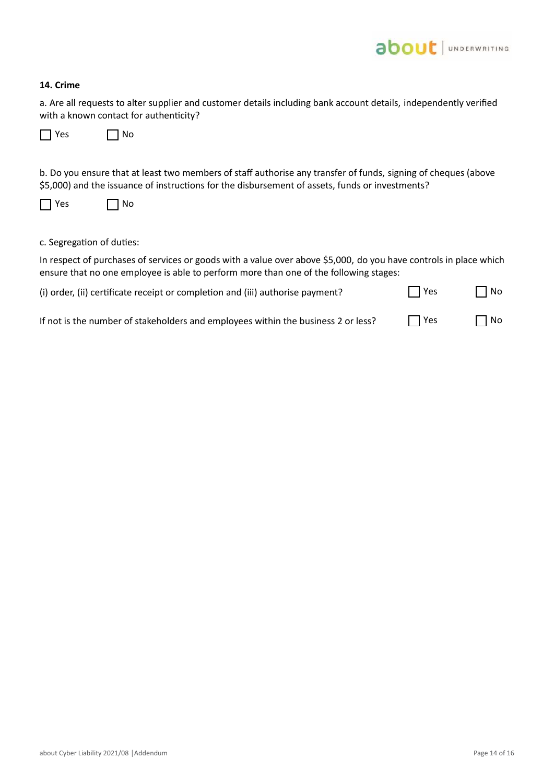

### **14. Crime**

a. Are all requests to alter supplier and customer details including bank account details, independently verified with a known contact for authenticity?

|  | Υρς |  | Nο |
|--|-----|--|----|
|--|-----|--|----|

b. Do you ensure that at least two members of staff authorise any transfer of funds, signing of cheques (above \$5,000) and the issuance of instructions for the disbursement of assets, funds or investments?

| Υρς |  | Nο |
|-----|--|----|
|-----|--|----|

## c. Segregation of duties:

In respect of purchases of services or goods with a value over above \$5,000, do you have controls in place which ensure that no one employee is able to perform more than one of the following stages:

| (i) order, (ii) certificate receipt or completion and (iii) authorise payment? | $\Box$ Yes | $\Box$ No |
|--------------------------------------------------------------------------------|------------|-----------|
|--------------------------------------------------------------------------------|------------|-----------|

| If not is the number of stakeholders and employees within the business 2 or less? | $\Box$ Yes | $\Box$ No |
|-----------------------------------------------------------------------------------|------------|-----------|
|-----------------------------------------------------------------------------------|------------|-----------|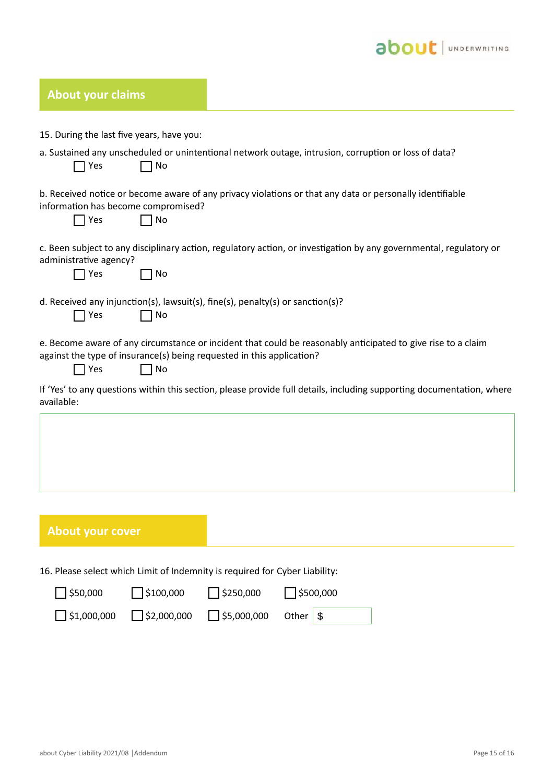

| <b>About your claims</b>                                                           |                                                                                                                       |
|------------------------------------------------------------------------------------|-----------------------------------------------------------------------------------------------------------------------|
| 15. During the last five years, have you:                                          |                                                                                                                       |
| Yes<br>No                                                                          | a. Sustained any unscheduled or unintentional network outage, intrusion, corruption or loss of data?                  |
| information has become compromised?<br>Yes<br>No                                   | b. Received notice or become aware of any privacy violations or that any data or personally identifiable              |
| administrative agency?<br>Yes<br>No                                                | c. Been subject to any disciplinary action, regulatory action, or investigation by any governmental, regulatory or    |
| Yes<br>No                                                                          | d. Received any injunction(s), lawsuit(s), fine(s), penalty(s) or sanction(s)?                                        |
| against the type of insurance(s) being requested in this application?<br>Yes<br>No | e. Become aware of any circumstance or incident that could be reasonably anticipated to give rise to a claim          |
| available:                                                                         | If 'Yes' to any questions within this section, please provide full details, including supporting documentation, where |
|                                                                                    |                                                                                                                       |

# **About your cover**

16. Please select which Limit of Indemnity is required for Cyber Liability:

| $\Box$ \$50,000    | $\bigcap$ \$100,000 | $\bigcap$ \$250,000 | $\bigcup$ \$500,000 |
|--------------------|---------------------|---------------------|---------------------|
| $\Box$ \$1,000,000 | $\Box$ \$2,000,000  | 55,000,000          | Other $\sqrt{S}$    |